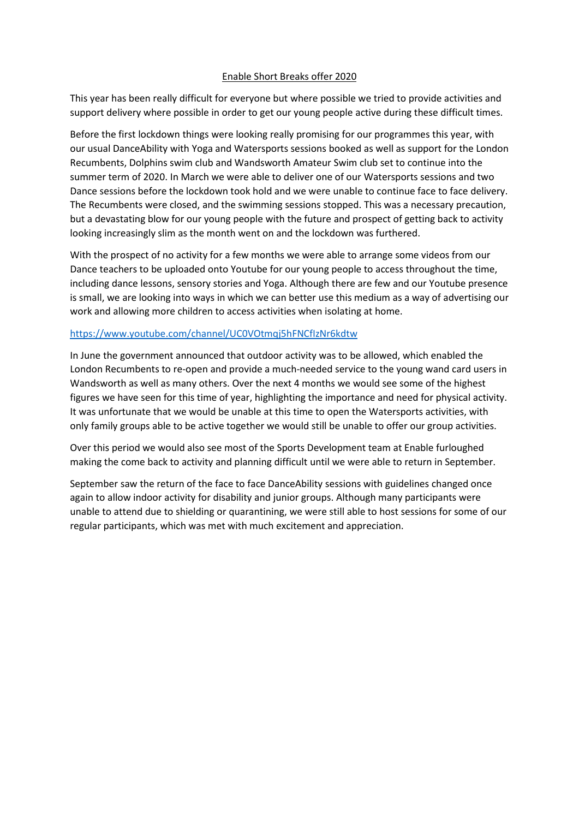## Enable Short Breaks offer 2020

This year has been really difficult for everyone but where possible we tried to provide activities and support delivery where possible in order to get our young people active during these difficult times.

Before the first lockdown things were looking really promising for our programmes this year, with our usual DanceAbility with Yoga and Watersports sessions booked as well as support for the London Recumbents, Dolphins swim club and Wandsworth Amateur Swim club set to continue into the summer term of 2020. In March we were able to deliver one of our Watersports sessions and two Dance sessions before the lockdown took hold and we were unable to continue face to face delivery. The Recumbents were closed, and the swimming sessions stopped. This was a necessary precaution, but a devastating blow for our young people with the future and prospect of getting back to activity looking increasingly slim as the month went on and the lockdown was furthered.

With the prospect of no activity for a few months we were able to arrange some videos from our Dance teachers to be uploaded onto Youtube for our young people to access throughout the time, including dance lessons, sensory stories and Yoga. Although there are few and our Youtube presence is small, we are looking into ways in which we can better use this medium as a way of advertising our work and allowing more children to access activities when isolating at home.

## <https://www.youtube.com/channel/UC0VOtmqj5hFNCfIzNr6kdtw>

In June the government announced that outdoor activity was to be allowed, which enabled the London Recumbents to re-open and provide a much-needed service to the young wand card users in Wandsworth as well as many others. Over the next 4 months we would see some of the highest figures we have seen for this time of year, highlighting the importance and need for physical activity. It was unfortunate that we would be unable at this time to open the Watersports activities, with only family groups able to be active together we would still be unable to offer our group activities.

Over this period we would also see most of the Sports Development team at Enable furloughed making the come back to activity and planning difficult until we were able to return in September.

September saw the return of the face to face DanceAbility sessions with guidelines changed once again to allow indoor activity for disability and junior groups. Although many participants were unable to attend due to shielding or quarantining, we were still able to host sessions for some of our regular participants, which was met with much excitement and appreciation.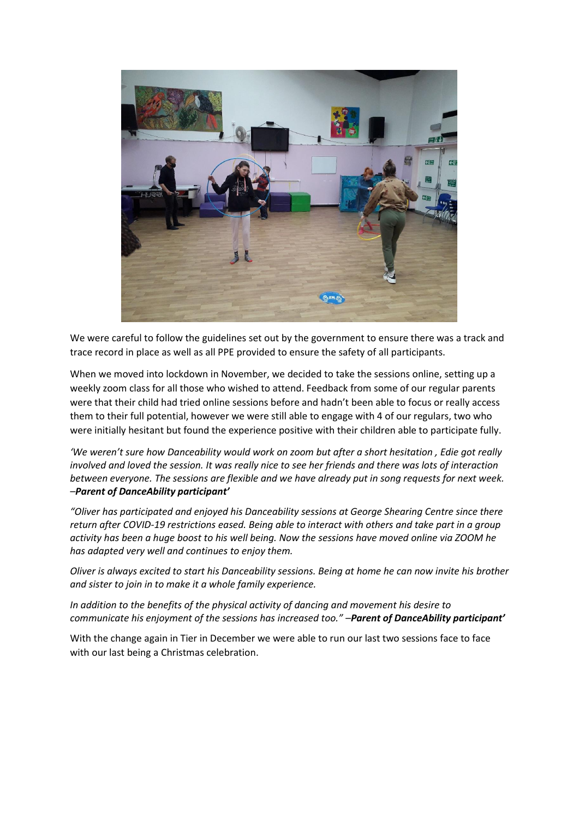

We were careful to follow the guidelines set out by the government to ensure there was a track and trace record in place as well as all PPE provided to ensure the safety of all participants.

When we moved into lockdown in November, we decided to take the sessions online, setting up a weekly zoom class for all those who wished to attend. Feedback from some of our regular parents were that their child had tried online sessions before and hadn't been able to focus or really access them to their full potential, however we were still able to engage with 4 of our regulars, two who were initially hesitant but found the experience positive with their children able to participate fully.

*'We weren't sure how Danceability would work on zoom but after a short hesitation , Edie got really involved and loved the session. It was really nice to see her friends and there was lots of interaction between everyone. The sessions are flexible and we have already put in song requests for next week. –Parent of DanceAbility participant'*

*"Oliver has participated and enjoyed his Danceability sessions at George Shearing Centre since there return after COVID-19 restrictions eased. Being able to interact with others and take part in a group activity has been a huge boost to his well being. Now the sessions have moved online via ZOOM he has adapted very well and continues to enjoy them.*

*Oliver is always excited to start his Danceability sessions. Being at home he can now invite his brother and sister to join in to make it a whole family experience.*

*In addition to the benefits of the physical activity of dancing and movement his desire to communicate his enjoyment of the sessions has increased too." –Parent of DanceAbility participant'*

With the change again in Tier in December we were able to run our last two sessions face to face with our last being a Christmas celebration.